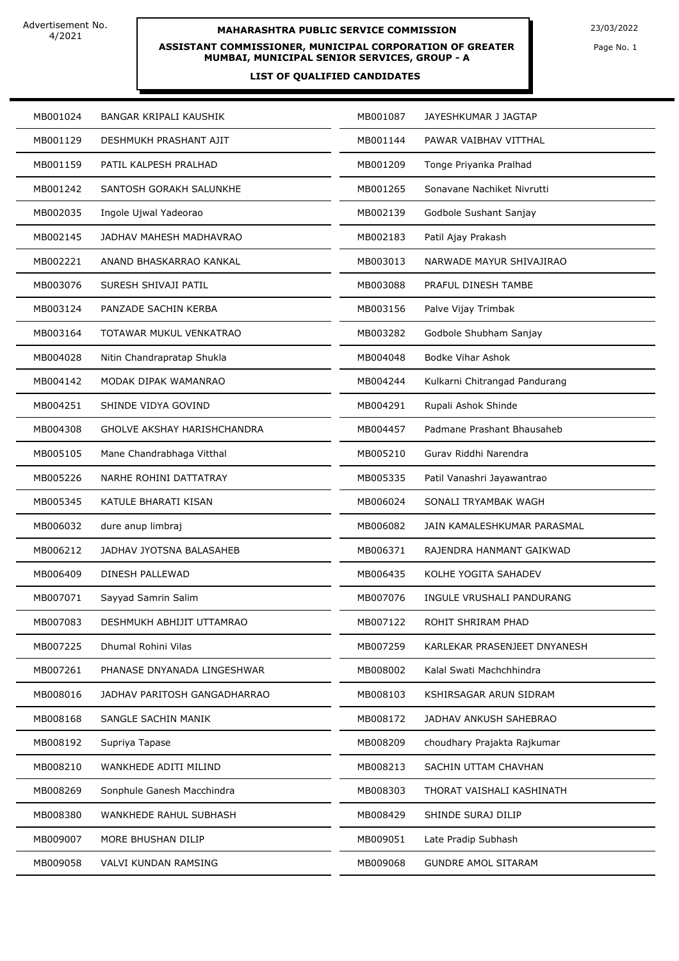# **MAHARASHTRA PUBLIC SERVICE COMMISSION** 23/03/2022

**ASSISTANT COMMISSIONER, MUNICIPAL CORPORATION OF GREATER MUMBAI, MUNICIPAL SENIOR SERVICES, GROUP - A**

### **LIST OF QUALIFIED CANDIDATES**

Page No. 1

| MB001024 | BANGAR KRIPALI KAUSHIK             | MB001087 | JAYESHKUMAR J JAGTAP          |  |
|----------|------------------------------------|----------|-------------------------------|--|
| MB001129 | DESHMUKH PRASHANT AJIT             | MB001144 | PAWAR VAIBHAV VITTHAL         |  |
| MB001159 | PATIL KALPESH PRALHAD              | MB001209 | Tonge Priyanka Pralhad        |  |
| MB001242 | SANTOSH GORAKH SALUNKHE            | MB001265 | Sonavane Nachiket Nivrutti    |  |
| MB002035 | Ingole Ujwal Yadeorao              | MB002139 | Godbole Sushant Sanjay        |  |
| MB002145 | JADHAV MAHESH MADHAVRAO            | MB002183 | Patil Ajay Prakash            |  |
| MB002221 | ANAND BHASKARRAO KANKAL            | MB003013 | NARWADE MAYUR SHIVAJIRAO      |  |
| MB003076 | SURESH SHIVAJI PATIL               | MB003088 | PRAFUL DINESH TAMBE           |  |
| MB003124 | PANZADE SACHIN KERBA               | MB003156 | Palve Vijay Trimbak           |  |
| MB003164 | TOTAWAR MUKUL VENKATRAO            | MB003282 | Godbole Shubham Sanjay        |  |
| MB004028 | Nitin Chandrapratap Shukla         | MB004048 | <b>Bodke Vihar Ashok</b>      |  |
| MB004142 | MODAK DIPAK WAMANRAO               | MB004244 | Kulkarni Chitrangad Pandurang |  |
| MB004251 | SHINDE VIDYA GOVIND                | MB004291 | Rupali Ashok Shinde           |  |
| MB004308 | <b>GHOLVE AKSHAY HARISHCHANDRA</b> | MB004457 | Padmane Prashant Bhausaheb    |  |
| MB005105 | Mane Chandrabhaga Vitthal          | MB005210 | Gurav Riddhi Narendra         |  |
| MB005226 | NARHE ROHINI DATTATRAY             | MB005335 | Patil Vanashri Jayawantrao    |  |
| MB005345 | KATULE BHARATI KISAN               | MB006024 | SONALI TRYAMBAK WAGH          |  |
| MB006032 | dure anup limbraj                  | MB006082 | JAIN KAMALESHKUMAR PARASMAL   |  |
| MB006212 | JADHAV JYOTSNA BALASAHEB           | MB006371 | RAJENDRA HANMANT GAIKWAD      |  |
| MB006409 | DINESH PALLEWAD                    | MB006435 | KOLHE YOGITA SAHADEV          |  |
| MB007071 | Sayyad Samrin Salim                | MB007076 | INGULE VRUSHALI PANDURANG     |  |
| MB007083 | DESHMUKH ABHIJIT UTTAMRAO          | MB007122 | ROHIT SHRIRAM PHAD            |  |
| MB007225 | Dhumal Rohini Vilas                | MB007259 | KARLEKAR PRASENJEET DNYANESH  |  |
| MB007261 | PHANASE DNYANADA LINGESHWAR        | MB008002 | Kalal Swati Machchhindra      |  |
| MB008016 | JADHAV PARITOSH GANGADHARRAO       | MB008103 | KSHIRSAGAR ARUN SIDRAM        |  |
| MB008168 | SANGLE SACHIN MANIK                | MB008172 | JADHAV ANKUSH SAHEBRAO        |  |
| MB008192 | Supriya Tapase                     | MB008209 | choudhary Prajakta Rajkumar   |  |
| MB008210 | WANKHEDE ADITI MILIND              | MB008213 | SACHIN UTTAM CHAVHAN          |  |
| MB008269 | Sonphule Ganesh Macchindra         | MB008303 | THORAT VAISHALI KASHINATH     |  |
| MB008380 | WANKHEDE RAHUL SUBHASH             | MB008429 | SHINDE SURAJ DILIP            |  |
| MB009007 | MORE BHUSHAN DILIP                 | MB009051 | Late Pradip Subhash           |  |
| MB009058 | VALVI KUNDAN RAMSING               | MB009068 | <b>GUNDRE AMOL SITARAM</b>    |  |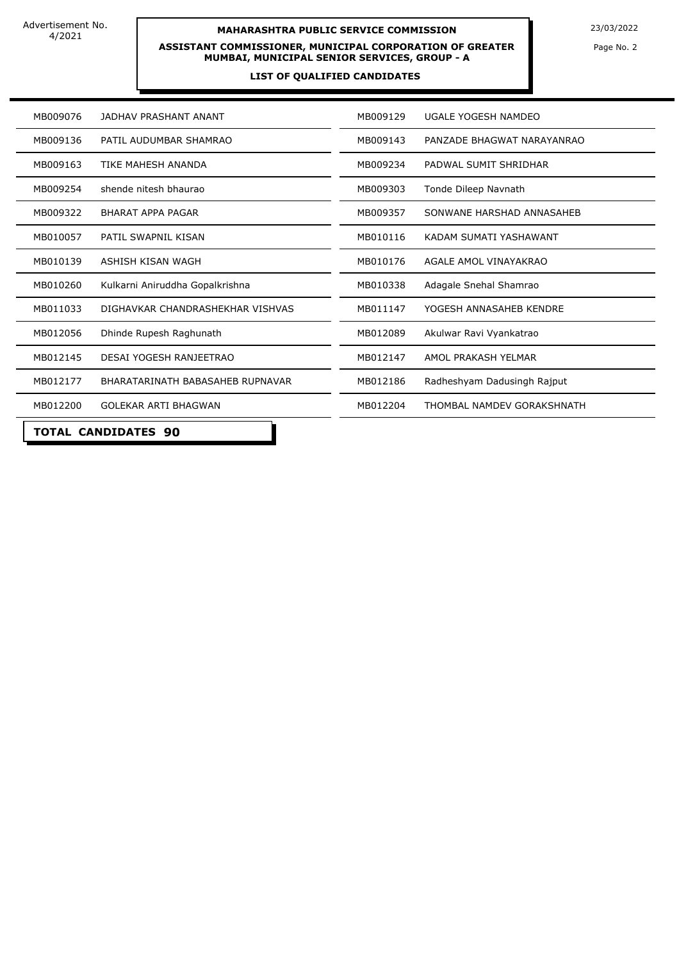### **MAHARASHTRA PUBLIC SERVICE COMMISSION** 23/03/2022

**ASSISTANT COMMISSIONER, MUNICIPAL CORPORATION OF GREATER MUMBAI, MUNICIPAL SENIOR SERVICES, GROUP - A**

#### **LIST OF QUALIFIED CANDIDATES**

Page No. 2

| MB009076                         | JADHAV PRASHANT ANANT            | MB009129 | UGALE YOGESH NAMDEO         |  |  |
|----------------------------------|----------------------------------|----------|-----------------------------|--|--|
| MB009136                         | PATIL AUDUMBAR SHAMRAO           | MB009143 | PANZADE BHAGWAT NARAYANRAO  |  |  |
| MB009163                         | <b>TIKE MAHESH ANANDA</b>        | MB009234 | PADWAL SUMIT SHRIDHAR       |  |  |
| MB009254                         | shende nitesh bhaurao            | MB009303 | Tonde Dileep Navnath        |  |  |
| MB009322                         | BHARAT APPA PAGAR                | MB009357 | SONWANE HARSHAD ANNASAHEB   |  |  |
| MB010057                         | PATIL SWAPNIL KISAN              | MB010116 | KADAM SUMATI YASHAWANT      |  |  |
| MB010139                         | ASHISH KISAN WAGH                | MB010176 | AGALE AMOL VINAYAKRAO       |  |  |
| MB010260                         | Kulkarni Aniruddha Gopalkrishna  | MB010338 | Adagale Snehal Shamrao      |  |  |
| MB011033                         | DIGHAVKAR CHANDRASHEKHAR VISHVAS | MB011147 | YOGESH ANNASAHEB KENDRE     |  |  |
| MB012056                         | Dhinde Rupesh Raghunath          | MB012089 | Akulwar Ravi Vyankatrao     |  |  |
| MB012145                         | DESAI YOGESH RANJEETRAO          | MB012147 | AMOL PRAKASH YELMAR         |  |  |
| MB012177                         | BHARATARINATH BABASAHEB RUPNAVAR | MB012186 | Radheshyam Dadusingh Rajput |  |  |
| MB012200                         | <b>GOLEKAR ARTI BHAGWAN</b>      | MB012204 | THOMBAL NAMDEV GORAKSHNATH  |  |  |
| TOTAL<br><b>CANDIDATES</b><br>90 |                                  |          |                             |  |  |